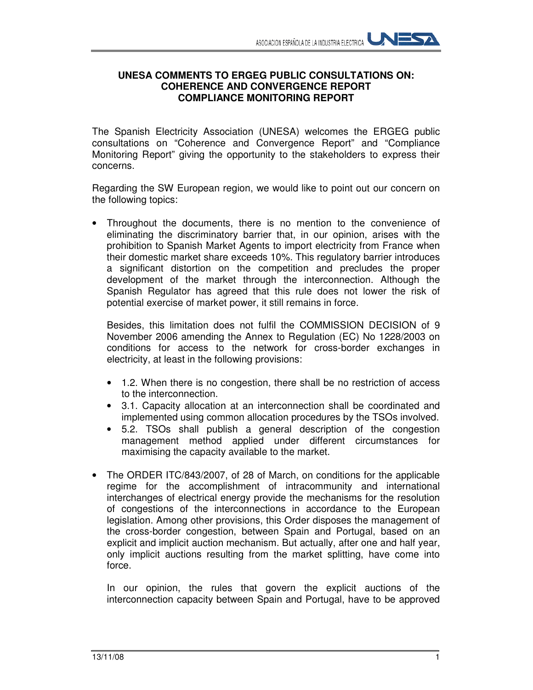## **UNESA COMMENTS TO ERGEG PUBLIC CONSULTATIONS ON: COHERENCE AND CONVERGENCE REPORT COMPLIANCE MONITORING REPORT**

The Spanish Electricity Association (UNESA) welcomes the ERGEG public consultations on "Coherence and Convergence Report" and "Compliance Monitoring Report" giving the opportunity to the stakeholders to express their concerns.

Regarding the SW European region, we would like to point out our concern on the following topics:

• Throughout the documents, there is no mention to the convenience of eliminating the discriminatory barrier that, in our opinion, arises with the prohibition to Spanish Market Agents to import electricity from France when their domestic market share exceeds 10%. This regulatory barrier introduces a significant distortion on the competition and precludes the proper development of the market through the interconnection. Although the Spanish Regulator has agreed that this rule does not lower the risk of potential exercise of market power, it still remains in force.

Besides, this limitation does not fulfil the COMMISSION DECISION of 9 November 2006 amending the Annex to Regulation (EC) No 1228/2003 on conditions for access to the network for cross-border exchanges in electricity, at least in the following provisions:

- 1.2. When there is no congestion, there shall be no restriction of access to the interconnection.
- 3.1. Capacity allocation at an interconnection shall be coordinated and implemented using common allocation procedures by the TSOs involved.
- 5.2. TSOs shall publish a general description of the congestion management method applied under different circumstances for maximising the capacity available to the market.
- The ORDER ITC/843/2007, of 28 of March, on conditions for the applicable regime for the accomplishment of intracommunity and international interchanges of electrical energy provide the mechanisms for the resolution of congestions of the interconnections in accordance to the European legislation. Among other provisions, this Order disposes the management of the cross-border congestion, between Spain and Portugal, based on an explicit and implicit auction mechanism. But actually, after one and half year, only implicit auctions resulting from the market splitting, have come into force.

In our opinion, the rules that govern the explicit auctions of the interconnection capacity between Spain and Portugal, have to be approved